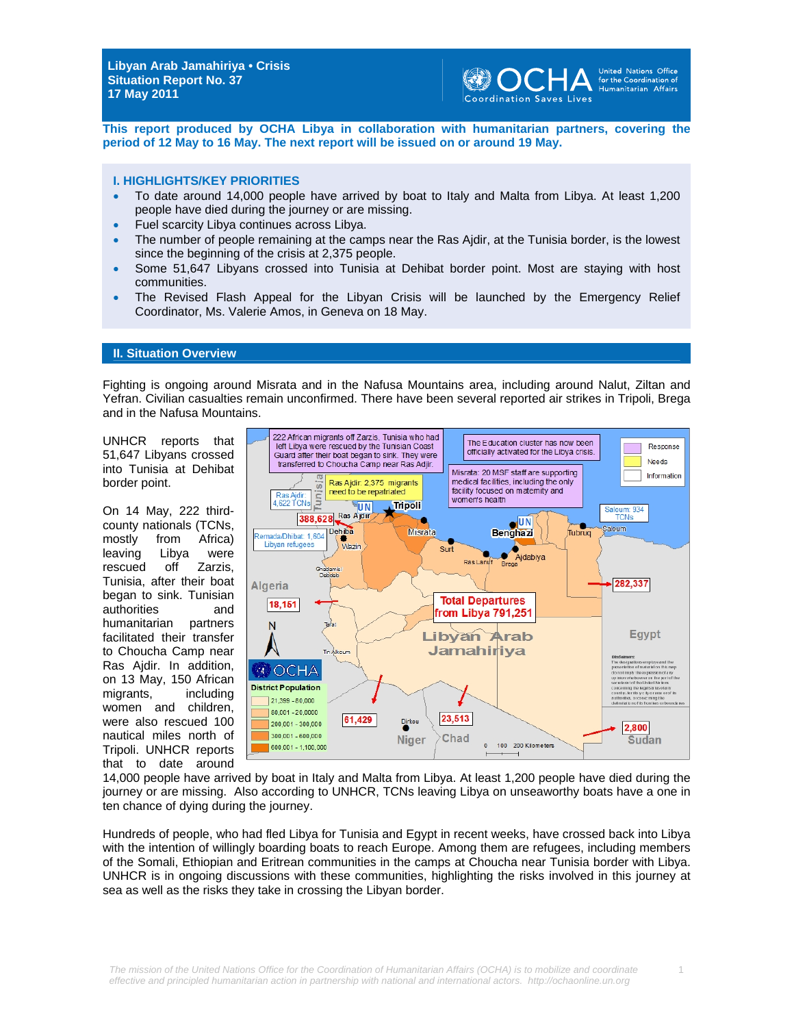**Libyan Arab Jamahiriya • Crisis Situation Report No. 37 17 May 2011**



**This report produced by OCHA Libya in collaboration with humanitarian partners, covering the period of 12 May to 16 May. The next report will be issued on or around 19 May.** 

### **I. HIGHLIGHTS/KEY PRIORITIES**

- To date around 14,000 people have arrived by boat to Italy and Malta from Libya. At least 1,200 people have died during the journey or are missing.
- Fuel scarcity Libya continues across Libya.
- The number of people remaining at the camps near the Ras Ajdir, at the Tunisia border, is the lowest since the beginning of the crisis at 2,375 people.
- Some 51,647 Libyans crossed into Tunisia at Dehibat border point. Most are staying with host communities.
- The Revised Flash Appeal for the Libyan Crisis will be launched by the Emergency Relief Coordinator, Ms. Valerie Amos, in Geneva on 18 May.

### **II. Situation Overview**

Fighting is ongoing around Misrata and in the Nafusa Mountains area, including around Nalut, Ziltan and Yefran. Civilian casualties remain unconfirmed. There have been several reported air strikes in Tripoli, Brega and in the Nafusa Mountains.

UNHCR reports that 51,647 Libyans crossed into Tunisia at Dehibat border point.

On 14 May, 222 thirdcounty nationals (TCNs, mostly from Africa) leaving Libya were rescued off Zarzis, Tunisia, after their boat began to sink. Tunisian authorities and humanitarian partners facilitated their transfer to Choucha Camp near Ras Ajdir. In addition, on 13 May, 150 African migrants, including women and children, were also rescued 100 nautical miles north of Tripoli. UNHCR reports that to date around



14,000 people have arrived by boat in Italy and Malta from Libya. At least 1,200 people have died during the journey or are missing. Also according to UNHCR, TCNs leaving Libya on unseaworthy boats have a one in ten chance of dying during the journey.

Hundreds of people, who had fled Libya for Tunisia and Egypt in recent weeks, have crossed back into Libya with the intention of willingly boarding boats to reach Europe. Among them are refugees, including members of the Somali, Ethiopian and Eritrean communities in the camps at Choucha near Tunisia border with Libya. UNHCR is in ongoing discussions with these communities, highlighting the risks involved in this journey at sea as well as the risks they take in crossing the Libyan border.

1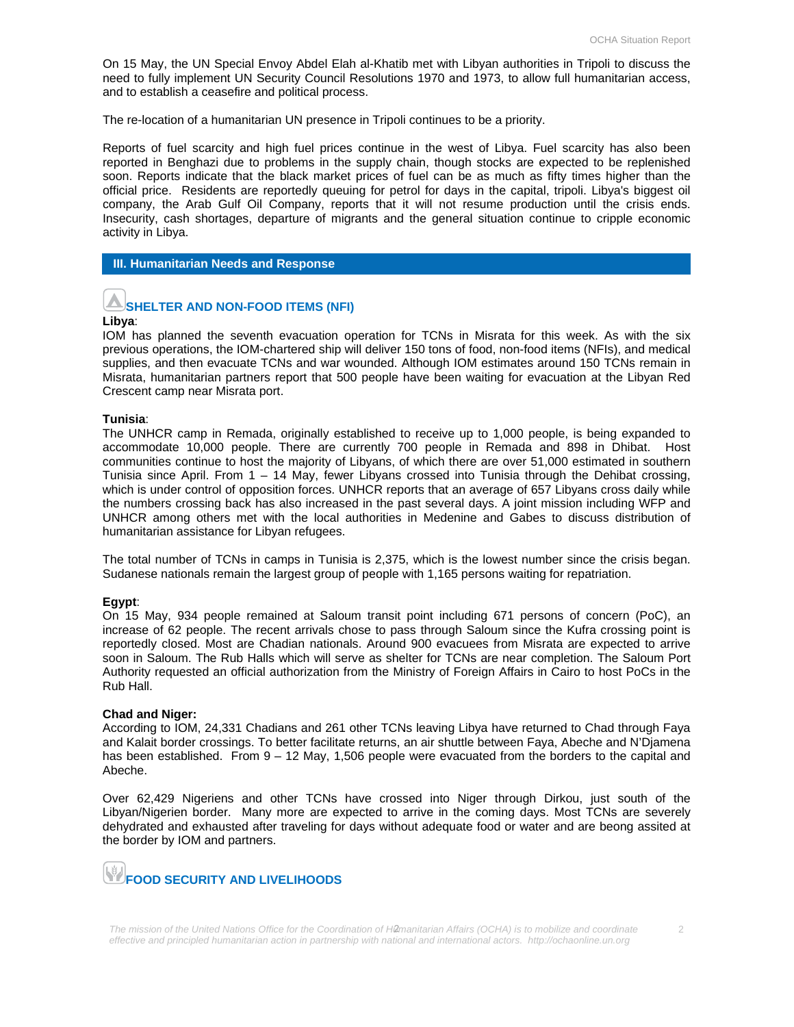On 15 May, the UN Special Envoy Abdel Elah al-Khatib met with Libyan authorities in Tripoli to discuss the need to fully implement UN Security Council Resolutions 1970 and 1973, to allow full humanitarian access, and to establish a ceasefire and political process.

The re-location of a humanitarian UN presence in Tripoli continues to be a priority.

Reports of fuel scarcity and high fuel prices continue in the west of Libya. Fuel scarcity has also been reported in Benghazi due to problems in the supply chain, though stocks are expected to be replenished soon. Reports indicate that the black market prices of fuel can be as much as fifty times higher than the official price. Residents are reportedly queuing for petrol for days in the capital, tripoli. Libya's biggest oil company, the Arab Gulf Oil Company, reports that it will not resume production until the crisis ends. Insecurity, cash shortages, departure of migrants and the general situation continue to cripple economic activity in Libya.

**III. Humanitarian Needs and Response** 

## **SHELTER AND NON-FOOD ITEMS (NFI)**

### **Libya**:

IOM has planned the seventh evacuation operation for TCNs in Misrata for this week. As with the six previous operations, the IOM-chartered ship will deliver 150 tons of food, non-food items (NFIs), and medical supplies, and then evacuate TCNs and war wounded. Although IOM estimates around 150 TCNs remain in Misrata, humanitarian partners report that 500 people have been waiting for evacuation at the Libyan Red Crescent camp near Misrata port.

### **Tunisia**:

The UNHCR camp in Remada, originally established to receive up to 1,000 people, is being expanded to accommodate 10,000 people. There are currently 700 people in Remada and 898 in Dhibat. Host communities continue to host the majority of Libyans, of which there are over 51,000 estimated in southern Tunisia since April. From 1 – 14 May, fewer Libyans crossed into Tunisia through the Dehibat crossing, which is under control of opposition forces. UNHCR reports that an average of 657 Libyans cross daily while the numbers crossing back has also increased in the past several days. A joint mission including WFP and UNHCR among others met with the local authorities in Medenine and Gabes to discuss distribution of humanitarian assistance for Libyan refugees.

The total number of TCNs in camps in Tunisia is 2,375, which is the lowest number since the crisis began. Sudanese nationals remain the largest group of people with 1,165 persons waiting for repatriation.

### **Egypt**:

On 15 May, 934 people remained at Saloum transit point including 671 persons of concern (PoC), an increase of 62 people. The recent arrivals chose to pass through Saloum since the Kufra crossing point is reportedly closed. Most are Chadian nationals. Around 900 evacuees from Misrata are expected to arrive soon in Saloum. The Rub Halls which will serve as shelter for TCNs are near completion. The Saloum Port Authority requested an official authorization from the Ministry of Foreign Affairs in Cairo to host PoCs in the Rub Hall.

### **Chad and Niger:**

According to IOM, 24,331 Chadians and 261 other TCNs leaving Libya have returned to Chad through Faya and Kalait border crossings. To better facilitate returns, an air shuttle between Faya, Abeche and N'Djamena has been established. From 9 – 12 May, 1,506 people were evacuated from the borders to the capital and Abeche.

Over 62,429 Nigeriens and other TCNs have crossed into Niger through Dirkou, just south of the Libyan/Nigerien border. Many more are expected to arrive in the coming days. Most TCNs are severely dehydrated and exhausted after traveling for days without adequate food or water and are beong assited at the border by IOM and partners.

## **FOOD SECURITY AND LIVELIHOODS**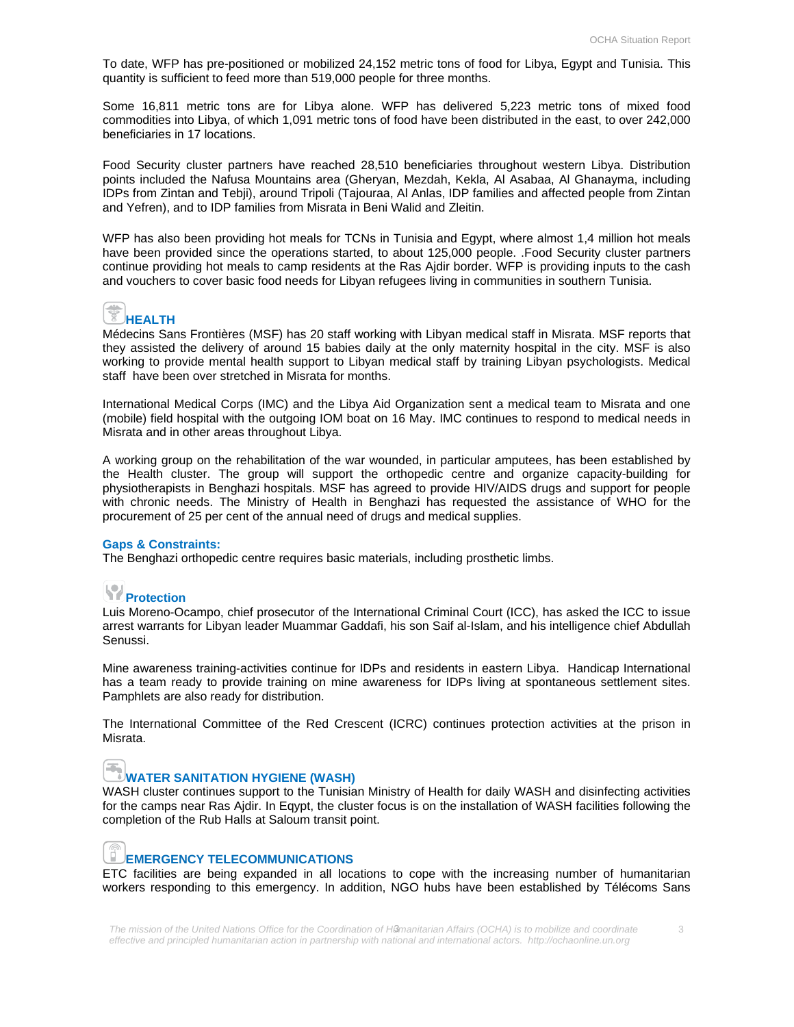To date, WFP has pre-positioned or mobilized 24,152 metric tons of food for Libya, Egypt and Tunisia. This quantity is sufficient to feed more than 519,000 people for three months.

Some 16,811 metric tons are for Libya alone. WFP has delivered 5,223 metric tons of mixed food commodities into Libya, of which 1,091 metric tons of food have been distributed in the east, to over 242,000 beneficiaries in 17 locations.

Food Security cluster partners have reached 28,510 beneficiaries throughout western Libya. Distribution points included the Nafusa Mountains area (Gheryan, Mezdah, Kekla, Al Asabaa, Al Ghanayma, including IDPs from Zintan and Tebji), around Tripoli (Tajouraa, Al Anlas, IDP families and affected people from Zintan and Yefren), and to IDP families from Misrata in Beni Walid and Zleitin.

WFP has also been providing hot meals for TCNs in Tunisia and Egypt, where almost 1,4 million hot meals have been provided since the operations started, to about 125,000 people. .Food Security cluster partners continue providing hot meals to camp residents at the Ras Ajdir border. WFP is providing inputs to the cash and vouchers to cover basic food needs for Libyan refugees living in communities in southern Tunisia.

# **HEALTH**

Médecins Sans Frontières (MSF) has 20 staff working with Libyan medical staff in Misrata. MSF reports that they assisted the delivery of around 15 babies daily at the only maternity hospital in the city. MSF is also working to provide mental health support to Libyan medical staff by training Libyan psychologists. Medical staff have been over stretched in Misrata for months.

International Medical Corps (IMC) and the Libya Aid Organization sent a medical team to Misrata and one (mobile) field hospital with the outgoing IOM boat on 16 May. IMC continues to respond to medical needs in Misrata and in other areas throughout Libya.

A working group on the rehabilitation of the war wounded, in particular amputees, has been established by the Health cluster. The group will support the orthopedic centre and organize capacity-building for physiotherapists in Benghazi hospitals. MSF has agreed to provide HIV/AIDS drugs and support for people with chronic needs. The Ministry of Health in Benghazi has requested the assistance of WHO for the procurement of 25 per cent of the annual need of drugs and medical supplies.

### **Gaps & Constraints:**

The Benghazi orthopedic centre requires basic materials, including prosthetic limbs.

# **Protection**

Luis Moreno-Ocampo, chief prosecutor of the International Criminal Court (ICC), has asked the ICC to issue arrest warrants for Libyan leader Muammar Gaddafi, his son Saif al-Islam, and his intelligence chief Abdullah Senussi.

Mine awareness training-activities continue for IDPs and residents in eastern Libya. Handicap International has a team ready to provide training on mine awareness for IDPs living at spontaneous settlement sites. Pamphlets are also ready for distribution.

The International Committee of the Red Crescent (ICRC) continues protection activities at the prison in Misrata.

### **WATER SANITATION HYGIENE (WASH)**

WASH cluster continues support to the Tunisian Ministry of Health for daily WASH and disinfecting activities for the camps near Ras Ajdir. In Eqypt, the cluster focus is on the installation of WASH facilities following the completion of the Rub Halls at Saloum transit point.

### **EMERGENCY TELECOMMUNICATIONS**

ETC facilities are being expanded in all locations to cope with the increasing number of humanitarian workers responding to this emergency. In addition, NGO hubs have been established by Télécoms Sans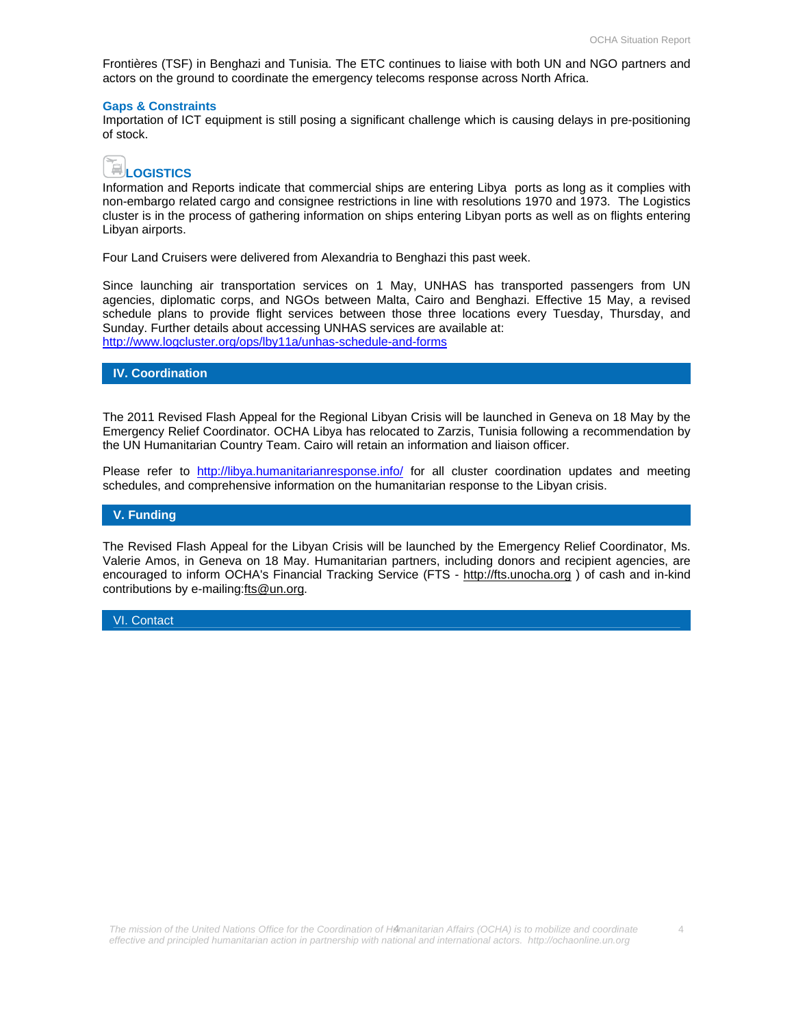Frontières (TSF) in Benghazi and Tunisia. The ETC continues to liaise with both UN and NGO partners and actors on the ground to coordinate the emergency telecoms response across North Africa.

#### **Gaps & Constraints**

Importation of ICT equipment is still posing a significant challenge which is causing delays in pre-positioning of stock.

## ELOGISTICS

Information and Reports indicate that commercial ships are entering Libya ports as long as it complies with non-embargo related cargo and consignee restrictions in line with resolutions 1970 and 1973. The Logistics cluster is in the process of gathering information on ships entering Libyan ports as well as on flights entering Libyan airports.

Four Land Cruisers were delivered from Alexandria to Benghazi this past week.

Since launching air transportation services on 1 May, UNHAS has transported passengers from UN agencies, diplomatic corps, and NGOs between Malta, Cairo and Benghazi. Effective 15 May, a revised schedule plans to provide flight services between those three locations every Tuesday, Thursday, and Sunday. Further details about accessing UNHAS services are available at: http://www.logcluster.org/ops/lby11a/unhas-schedule-and-forms

### **IV. Coordination**

The 2011 Revised Flash Appeal for the Regional Libyan Crisis will be launched in Geneva on 18 May by the Emergency Relief Coordinator. OCHA Libya has relocated to Zarzis, Tunisia following a recommendation by the UN Humanitarian Country Team. Cairo will retain an information and liaison officer.

Please refer to http://libya.humanitarianresponse.info/ for all cluster coordination updates and meeting schedules, and comprehensive information on the humanitarian response to the Libyan crisis.

### **V. Funding**

The Revised Flash Appeal for the Libyan Crisis will be launched by the Emergency Relief Coordinator, Ms. Valerie Amos, in Geneva on 18 May. Humanitarian partners, including donors and recipient agencies, are encouraged to inform OCHA's Financial Tracking Service (FTS - http://fts.unocha.org ) of cash and in-kind contributions by e-mailing:fts@un.org.

VI. Contact